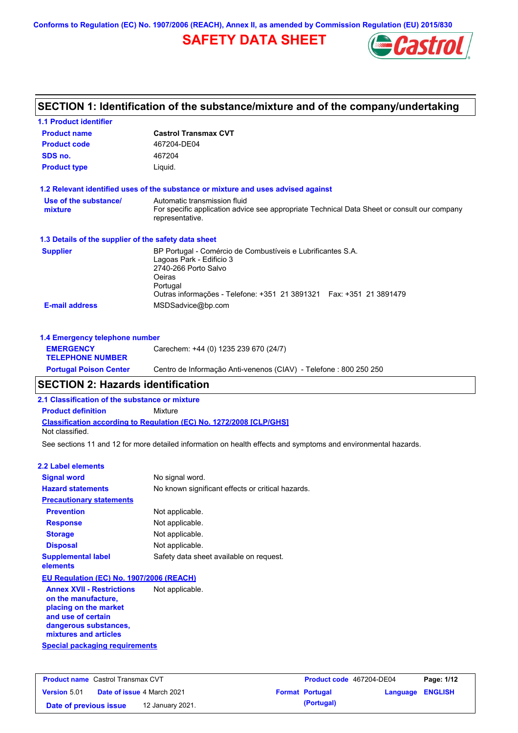**Conforms to Regulation (EC) No. 1907/2006 (REACH), Annex II, as amended by Commission Regulation (EU) 2015/830**

# **SAFETY DATA SHEET**



# **SECTION 1: Identification of the substance/mixture and of the company/undertaking**

| <b>1.1 Product identifier</b>                        |                                                                                                                                                                                                               |
|------------------------------------------------------|---------------------------------------------------------------------------------------------------------------------------------------------------------------------------------------------------------------|
| <b>Product name</b>                                  | <b>Castrol Transmax CVT</b>                                                                                                                                                                                   |
| <b>Product code</b>                                  | 467204-DE04                                                                                                                                                                                                   |
| SDS no.                                              | 467204                                                                                                                                                                                                        |
| <b>Product type</b>                                  | Liquid.                                                                                                                                                                                                       |
|                                                      | 1.2 Relevant identified uses of the substance or mixture and uses advised against                                                                                                                             |
| Use of the substance/<br>mixture                     | Automatic transmission fluid<br>For specific application advice see appropriate Technical Data Sheet or consult our company<br>representative.                                                                |
| 1.3 Details of the supplier of the safety data sheet |                                                                                                                                                                                                               |
| <b>Supplier</b>                                      | BP Portugal - Comércio de Combustíveis e Lubrificantes S.A.<br>Lagoas Park - Edificio 3<br>2740-266 Porto Salvo<br>Oeiras<br>Portugal<br>Outras informações - Telefone: +351 21 3891321  Fax: +351 21 3891479 |
| <b>E-mail address</b>                                | MSDSadvice@bp.com                                                                                                                                                                                             |
| 1.4 Emergency telephone number                       |                                                                                                                                                                                                               |
|                                                      | <b>FISTRAFUAV Construction</b> $O(170)$                                                                                                                                                                       |

| <b>Portugal Poison Center</b>               | Centro de Informação Anti-venenos (CIAV) - Telefone : 800 250 250 |
|---------------------------------------------|-------------------------------------------------------------------|
| <b>EMERGENCY</b><br><b>TELEPHONE NUMBER</b> | Carechem: +44 (0) 1235 239 670 (24/7)                             |
|                                             |                                                                   |

# **SECTION 2: Hazards identification**

**2.1 Classification of the substance or mixture**

**Classification according to Regulation (EC) No. 1272/2008 [CLP/GHS] Product definition** Mixture Not classified.

See sections 11 and 12 for more detailed information on health effects and symptoms and environmental hazards.

### **2.2 Label elements**

| <b>Signal word</b>                       | No signal word.                                   |
|------------------------------------------|---------------------------------------------------|
| <b>Hazard statements</b>                 | No known significant effects or critical hazards. |
| <b>Precautionary statements</b>          |                                                   |
| <b>Prevention</b>                        | Not applicable.                                   |
| <b>Response</b>                          | Not applicable.                                   |
| <b>Storage</b>                           | Not applicable.                                   |
| <b>Disposal</b>                          | Not applicable.                                   |
| <b>Supplemental label</b><br>elements    | Safety data sheet available on request.           |
| EU Regulation (EC) No. 1907/2006 (REACH) |                                                   |

**Special packaging requirements Annex XVII - Restrictions on the manufacture, placing on the market and use of certain dangerous substances, mixtures and articles** Not applicable.

| <b>Product name</b> Castrol Transmax CVT |  | <b>Product code</b> 467204-DE04   |  | Page: 1/12             |                         |  |
|------------------------------------------|--|-----------------------------------|--|------------------------|-------------------------|--|
| <b>Version 5.01</b>                      |  | <b>Date of issue 4 March 2021</b> |  | <b>Format Portugal</b> | <b>Language ENGLISH</b> |  |
| Date of previous issue                   |  | 12 January 2021.                  |  | (Portugal)             |                         |  |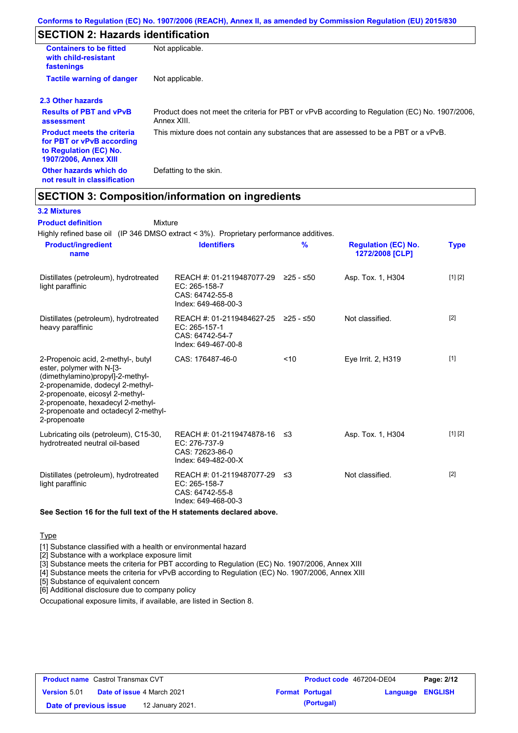# **SECTION 2: Hazards identification**

| <b>Containers to be fitted</b><br>with child-resistant<br>fastenings                                                     | Not applicable.                                                                                               |
|--------------------------------------------------------------------------------------------------------------------------|---------------------------------------------------------------------------------------------------------------|
| <b>Tactile warning of danger</b>                                                                                         | Not applicable.                                                                                               |
| 2.3 Other hazards                                                                                                        |                                                                                                               |
| <b>Results of PBT and vPvB</b><br>assessment                                                                             | Product does not meet the criteria for PBT or vPvB according to Regulation (EC) No. 1907/2006,<br>Annex XIII. |
| <b>Product meets the criteria</b><br>for PBT or vPvB according<br>to Regulation (EC) No.<br><b>1907/2006, Annex XIII</b> | This mixture does not contain any substances that are assessed to be a PBT or a vPvB.                         |
| Other hazards which do<br>not result in classification                                                                   | Defatting to the skin.                                                                                        |

# **SECTION 3: Composition/information on ingredients**

Mixture

### **3.2 Mixtures**

**Product definition**

Highly refined base oil (IP 346 DMSO extract < 3%). Proprietary performance additives.

| <b>Product/ingredient</b><br>name                                                                                                                                                                                                                                       | <b>Identifiers</b>                                                                             | $\frac{9}{6}$ | <b>Regulation (EC) No.</b><br>1272/2008 [CLP] | <b>Type</b> |
|-------------------------------------------------------------------------------------------------------------------------------------------------------------------------------------------------------------------------------------------------------------------------|------------------------------------------------------------------------------------------------|---------------|-----------------------------------------------|-------------|
| Distillates (petroleum), hydrotreated<br>light paraffinic                                                                                                                                                                                                               | REACH #: 01-2119487077-29 ≥25 - ≤50<br>EC: 265-158-7<br>CAS: 64742-55-8<br>Index: 649-468-00-3 |               | Asp. Tox. 1, H304                             | [1] [2]     |
| Distillates (petroleum), hydrotreated<br>heavy paraffinic                                                                                                                                                                                                               | REACH #: 01-2119484627-25 ≥25 - ≤50<br>EC: 265-157-1<br>CAS: 64742-54-7<br>Index: 649-467-00-8 |               | Not classified.                               | $[2]$       |
| 2-Propenoic acid, 2-methyl-, butyl<br>ester, polymer with N-[3-<br>(dimethylamino)propyl]-2-methyl-<br>2-propenamide, dodecyl 2-methyl-<br>2-propenoate, eicosyl 2-methyl-<br>2-propenoate, hexadecyl 2-methyl-<br>2-propenoate and octadecyl 2-methyl-<br>2-propenoate | CAS: 176487-46-0                                                                               | ~10           | Eye Irrit. 2, H319                            | $[1]$       |
| Lubricating oils (petroleum), C15-30,<br>hydrotreated neutral oil-based                                                                                                                                                                                                 | REACH #: 01-2119474878-16 ≤3<br>EC: 276-737-9<br>CAS: 72623-86-0<br>Index: 649-482-00-X        |               | Asp. Tox. 1, H304                             | [1] [2]     |
| Distillates (petroleum), hydrotreated<br>light paraffinic                                                                                                                                                                                                               | REACH #: 01-2119487077-29 ≤3<br>EC: 265-158-7<br>CAS: 64742-55-8<br>Index: 649-468-00-3        |               | Not classified.                               | $[2]$       |

### **See Section 16 for the full text of the H statements declared above.**

**Type** 

[1] Substance classified with a health or environmental hazard

[2] Substance with a workplace exposure limit

[3] Substance meets the criteria for PBT according to Regulation (EC) No. 1907/2006, Annex XIII

[4] Substance meets the criteria for vPvB according to Regulation (EC) No. 1907/2006, Annex XIII

[5] Substance of equivalent concern

[6] Additional disclosure due to company policy

Occupational exposure limits, if available, are listed in Section 8.

| <b>Product name</b> Castrol Transmax CVT |  | Product code 467204-DE04          |  | Page: 2/12             |                         |  |
|------------------------------------------|--|-----------------------------------|--|------------------------|-------------------------|--|
| <b>Version 5.01</b>                      |  | <b>Date of issue 4 March 2021</b> |  | <b>Format Portugal</b> | <b>Language ENGLISH</b> |  |
| Date of previous issue                   |  | 12 January 2021.                  |  | (Portugal)             |                         |  |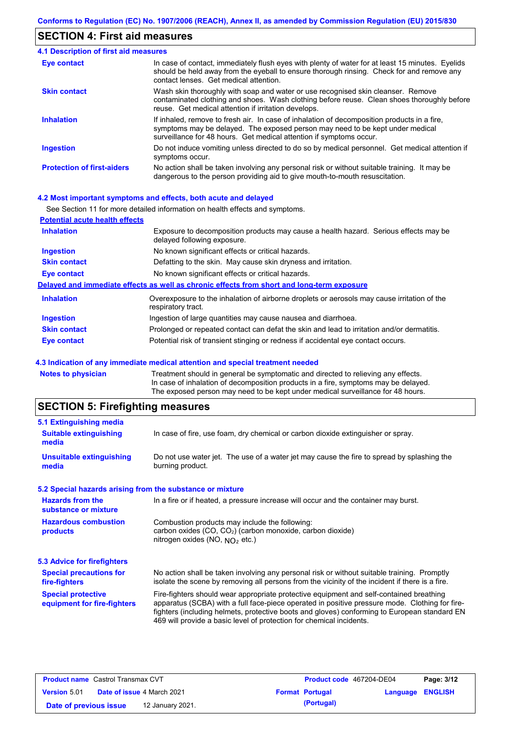### **SECTION 4: First aid measures**

#### Do not induce vomiting unless directed to do so by medical personnel. Get medical attention if symptoms occur. In case of contact, immediately flush eyes with plenty of water for at least 15 minutes. Eyelids should be held away from the eyeball to ensure thorough rinsing. Check for and remove any contact lenses. Get medical attention. **4.1 Description of first aid measures** If inhaled, remove to fresh air. In case of inhalation of decomposition products in a fire, symptoms may be delayed. The exposed person may need to be kept under medical surveillance for 48 hours. Get medical attention if symptoms occur. **Ingestion Inhalation Eye contact Protection of first-aiders** No action shall be taken involving any personal risk or without suitable training. It may be dangerous to the person providing aid to give mouth-to-mouth resuscitation. **Skin contact** Wash skin thoroughly with soap and water or use recognised skin cleanser. Remove contaminated clothing and shoes. Wash clothing before reuse. Clean shoes thoroughly before reuse. Get medical attention if irritation develops.

### **4.2 Most important symptoms and effects, both acute and delayed**

|                                       | See Section 11 for more detailed information on health effects and symptoms.                                        |
|---------------------------------------|---------------------------------------------------------------------------------------------------------------------|
| <b>Potential acute health effects</b> |                                                                                                                     |
| <b>Inhalation</b>                     | Exposure to decomposition products may cause a health hazard. Serious effects may be<br>delayed following exposure. |
| <b>Ingestion</b>                      | No known significant effects or critical hazards.                                                                   |
| <b>Skin contact</b>                   | Defatting to the skin. May cause skin dryness and irritation.                                                       |
| Eye contact                           | No known significant effects or critical hazards.                                                                   |
|                                       | Delayed and immediate effects as well as chronic effects from short and long-term exposure                          |
| <b>Inhalation</b>                     | Overexposure to the inhalation of airborne droplets or aerosols may cause irritation of the<br>respiratory tract.   |
| <b>Ingestion</b>                      | Ingestion of large quantities may cause nausea and diarrhoea.                                                       |
| <b>Skin contact</b>                   | Prolonged or repeated contact can defat the skin and lead to irritation and/or dermatitis.                          |
| Eye contact                           | Potential risk of transient stinging or redness if accidental eye contact occurs.                                   |

### **4.3 Indication of any immediate medical attention and special treatment needed**

| <b>Notes to physician</b> | Treatment should in general be symptomatic and directed to relieving any effects.   |
|---------------------------|-------------------------------------------------------------------------------------|
|                           | In case of inhalation of decomposition products in a fire, symptoms may be delayed. |
|                           | The exposed person may need to be kept under medical surveillance for 48 hours.     |
|                           |                                                                                     |

# **SECTION 5: Firefighting measures**

| 5.1 Extinguishing media                                   |                                                                                                                                                                                                                                                                                                                                                                   |
|-----------------------------------------------------------|-------------------------------------------------------------------------------------------------------------------------------------------------------------------------------------------------------------------------------------------------------------------------------------------------------------------------------------------------------------------|
| <b>Suitable extinguishing</b><br>media                    | In case of fire, use foam, dry chemical or carbon dioxide extinguisher or spray.                                                                                                                                                                                                                                                                                  |
| <b>Unsuitable extinguishing</b><br>media                  | Do not use water jet. The use of a water jet may cause the fire to spread by splashing the<br>burning product.                                                                                                                                                                                                                                                    |
| 5.2 Special hazards arising from the substance or mixture |                                                                                                                                                                                                                                                                                                                                                                   |
| <b>Hazards from the</b><br>substance or mixture           | In a fire or if heated, a pressure increase will occur and the container may burst.                                                                                                                                                                                                                                                                               |
| <b>Hazardous combustion</b><br>products                   | Combustion products may include the following:<br>carbon oxides (CO, CO <sub>2</sub> ) (carbon monoxide, carbon dioxide)<br>nitrogen oxides (NO, $NO2$ etc.)                                                                                                                                                                                                      |
| <b>5.3 Advice for firefighters</b>                        |                                                                                                                                                                                                                                                                                                                                                                   |
| <b>Special precautions for</b><br>fire-fighters           | No action shall be taken involving any personal risk or without suitable training. Promptly<br>isolate the scene by removing all persons from the vicinity of the incident if there is a fire.                                                                                                                                                                    |
| <b>Special protective</b><br>equipment for fire-fighters  | Fire-fighters should wear appropriate protective equipment and self-contained breathing<br>apparatus (SCBA) with a full face-piece operated in positive pressure mode. Clothing for fire-<br>fighters (including helmets, protective boots and gloves) conforming to European standard EN<br>469 will provide a basic level of protection for chemical incidents. |
|                                                           |                                                                                                                                                                                                                                                                                                                                                                   |

| <b>Product name</b> Castrol Transmax CVT |                                   |                        | <b>Product code</b> 467204-DE04 | Page: 3/12 |
|------------------------------------------|-----------------------------------|------------------------|---------------------------------|------------|
| <b>Version 5.01</b>                      | <b>Date of issue 4 March 2021</b> | <b>Format Portugal</b> | Language ENGLISH                |            |
| Date of previous issue                   | 12 January 2021.                  | (Portugal)             |                                 |            |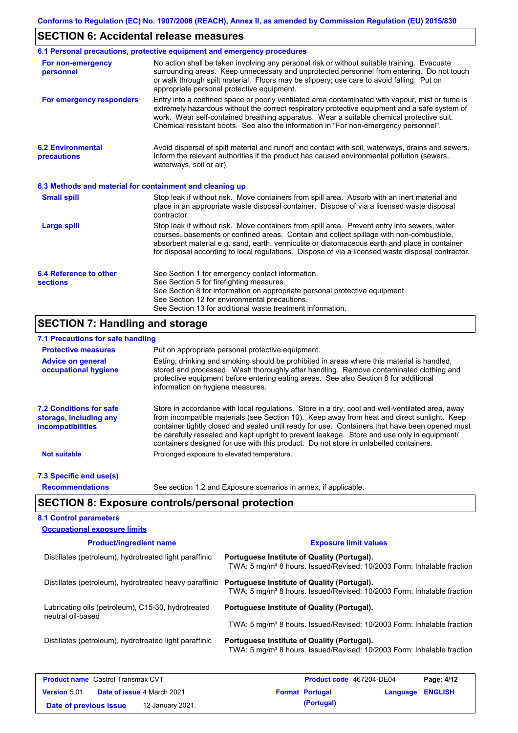# **SECTION 6: Accidental release measures**

|                                                          | 6.1 Personal precautions, protective equipment and emergency procedures                                                                                                                                                                                                                                                                                                                        |
|----------------------------------------------------------|------------------------------------------------------------------------------------------------------------------------------------------------------------------------------------------------------------------------------------------------------------------------------------------------------------------------------------------------------------------------------------------------|
| For non-emergency<br>personnel                           | No action shall be taken involving any personal risk or without suitable training. Evacuate<br>surrounding areas. Keep unnecessary and unprotected personnel from entering. Do not touch<br>or walk through spilt material. Floors may be slippery; use care to avoid falling. Put on<br>appropriate personal protective equipment.                                                            |
| For emergency responders                                 | Entry into a confined space or poorly ventilated area contaminated with vapour, mist or fume is<br>extremely hazardous without the correct respiratory protective equipment and a safe system of<br>work. Wear self-contained breathing apparatus. Wear a suitable chemical protective suit.<br>Chemical resistant boots. See also the information in "For non-emergency personnel".           |
| <b>6.2 Environmental</b><br>precautions                  | Avoid dispersal of spilt material and runoff and contact with soil, waterways, drains and sewers.<br>Inform the relevant authorities if the product has caused environmental pollution (sewers,<br>waterways, soil or air).                                                                                                                                                                    |
| 6.3 Methods and material for containment and cleaning up |                                                                                                                                                                                                                                                                                                                                                                                                |
| <b>Small spill</b>                                       | Stop leak if without risk. Move containers from spill area. Absorb with an inert material and<br>place in an appropriate waste disposal container. Dispose of via a licensed waste disposal<br>contractor.                                                                                                                                                                                     |
| <b>Large spill</b>                                       | Stop leak if without risk. Move containers from spill area. Prevent entry into sewers, water<br>courses, basements or confined areas. Contain and collect spillage with non-combustible,<br>absorbent material e.g. sand, earth, vermiculite or diatomaceous earth and place in container<br>for disposal according to local regulations. Dispose of via a licensed waste disposal contractor. |
| 6.4 Reference to other<br><b>sections</b>                | See Section 1 for emergency contact information.<br>See Section 5 for firefighting measures.                                                                                                                                                                                                                                                                                                   |
|                                                          | See Section 8 for information on appropriate personal protective equipment.                                                                                                                                                                                                                                                                                                                    |
|                                                          | See Section 12 for environmental precautions.                                                                                                                                                                                                                                                                                                                                                  |

# **SECTION 7: Handling and storage**

# **7.1 Precautions for safe handling**

| <b>Protective measures</b>                                                           | Put on appropriate personal protective equipment.                                                                                                                                                                                                                                                                                                                                                                                                                                        |
|--------------------------------------------------------------------------------------|------------------------------------------------------------------------------------------------------------------------------------------------------------------------------------------------------------------------------------------------------------------------------------------------------------------------------------------------------------------------------------------------------------------------------------------------------------------------------------------|
| <b>Advice on general</b><br>occupational hygiene                                     | Eating, drinking and smoking should be prohibited in areas where this material is handled,<br>stored and processed. Wash thoroughly after handling. Remove contaminated clothing and<br>protective equipment before entering eating areas. See also Section 8 for additional<br>information on hygiene measures.                                                                                                                                                                         |
| <b>7.2 Conditions for safe</b><br>storage, including any<br><i>incompatibilities</i> | Store in accordance with local requiations. Store in a dry, cool and well-ventilated area, away<br>from incompatible materials (see Section 10). Keep away from heat and direct sunlight. Keep<br>container tightly closed and sealed until ready for use. Containers that have been opened must<br>be carefully resealed and kept upright to prevent leakage. Store and use only in equipment/<br>containers designed for use with this product. Do not store in unlabelled containers. |
| <b>Not suitable</b>                                                                  | Prolonged exposure to elevated temperature.                                                                                                                                                                                                                                                                                                                                                                                                                                              |
| 7.3 Specific end use(s)                                                              |                                                                                                                                                                                                                                                                                                                                                                                                                                                                                          |
| <b>Recommendations</b>                                                               | See section 1.2 and Exposure scenarios in annex, if applicable.                                                                                                                                                                                                                                                                                                                                                                                                                          |

# **SECTION 8: Exposure controls/personal protection**

**Date of previous issue 12 January 2021. (Portugal) (Portugal)** 

### **8.1 Control parameters**

| <b>Occupational exposure limits</b>                                     |                                                                                                                                   |  |  |  |
|-------------------------------------------------------------------------|-----------------------------------------------------------------------------------------------------------------------------------|--|--|--|
| <b>Product/ingredient name</b>                                          | <b>Exposure limit values</b>                                                                                                      |  |  |  |
| Distillates (petroleum), hydrotreated light paraffinic                  | Portuguese Institute of Quality (Portugal).<br>TWA: 5 mg/m <sup>3</sup> 8 hours. Issued/Revised: 10/2003 Form: Inhalable fraction |  |  |  |
| Distillates (petroleum), hydrotreated heavy paraffinic                  | Portuguese Institute of Quality (Portugal).<br>TWA: 5 mg/m <sup>3</sup> 8 hours. Issued/Revised: 10/2003 Form: Inhalable fraction |  |  |  |
| Lubricating oils (petroleum), C15-30, hydrotreated<br>neutral oil-based | Portuguese Institute of Quality (Portugal).                                                                                       |  |  |  |
|                                                                         | TWA: 5 mg/m <sup>3</sup> 8 hours. Issued/Revised: 10/2003 Form: Inhalable fraction                                                |  |  |  |
| Distillates (petroleum), hydrotreated light paraffinic                  | Portuguese Institute of Quality (Portugal).<br>TWA: 5 mg/m <sup>3</sup> 8 hours. Issued/Revised: 10/2003 Form: Inhalable fraction |  |  |  |
| <b>Product name</b> Castrol Transmax CVT                                | <b>Product code</b> 467204-DE04<br>Page: 4/12                                                                                     |  |  |  |
| <b>Version 5.01</b><br><b>Date of issue 4 March 2021</b>                | <b>ENGLISH</b><br><b>Format Portugal</b><br>Language                                                                              |  |  |  |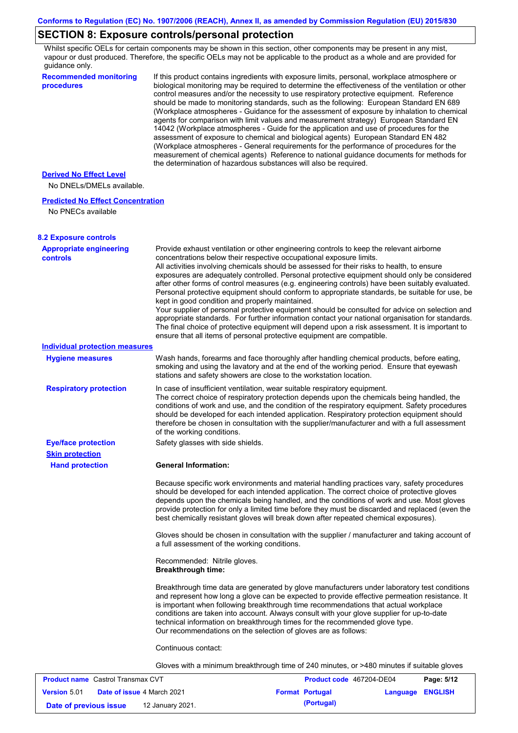# **SECTION 8: Exposure controls/personal protection**

Whilst specific OELs for certain components may be shown in this section, other components may be present in any mist, vapour or dust produced. Therefore, the specific OELs may not be applicable to the product as a whole and are provided for guidance only.

| quiuunoo oniy.<br><b>Recommended monitoring</b><br>procedures  | If this product contains ingredients with exposure limits, personal, workplace atmosphere or<br>biological monitoring may be required to determine the effectiveness of the ventilation or other<br>control measures and/or the necessity to use respiratory protective equipment. Reference<br>should be made to monitoring standards, such as the following: European Standard EN 689<br>(Workplace atmospheres - Guidance for the assessment of exposure by inhalation to chemical<br>agents for comparison with limit values and measurement strategy) European Standard EN<br>14042 (Workplace atmospheres - Guide for the application and use of procedures for the<br>assessment of exposure to chemical and biological agents) European Standard EN 482<br>(Workplace atmospheres - General requirements for the performance of procedures for the<br>measurement of chemical agents) Reference to national guidance documents for methods for<br>the determination of hazardous substances will also be required. |  |
|----------------------------------------------------------------|----------------------------------------------------------------------------------------------------------------------------------------------------------------------------------------------------------------------------------------------------------------------------------------------------------------------------------------------------------------------------------------------------------------------------------------------------------------------------------------------------------------------------------------------------------------------------------------------------------------------------------------------------------------------------------------------------------------------------------------------------------------------------------------------------------------------------------------------------------------------------------------------------------------------------------------------------------------------------------------------------------------------------|--|
| <b>Derived No Effect Level</b><br>No DNELs/DMELs available.    |                                                                                                                                                                                                                                                                                                                                                                                                                                                                                                                                                                                                                                                                                                                                                                                                                                                                                                                                                                                                                            |  |
| <b>Predicted No Effect Concentration</b><br>No PNECs available |                                                                                                                                                                                                                                                                                                                                                                                                                                                                                                                                                                                                                                                                                                                                                                                                                                                                                                                                                                                                                            |  |
| <b>8.2 Exposure controls</b>                                   |                                                                                                                                                                                                                                                                                                                                                                                                                                                                                                                                                                                                                                                                                                                                                                                                                                                                                                                                                                                                                            |  |
| <b>Appropriate engineering</b><br>controls                     | Provide exhaust ventilation or other engineering controls to keep the relevant airborne<br>concentrations below their respective occupational exposure limits.<br>All activities involving chemicals should be assessed for their risks to health, to ensure<br>exposures are adequately controlled. Personal protective equipment should only be considered<br>after other forms of control measures (e.g. engineering controls) have been suitably evaluated.<br>Personal protective equipment should conform to appropriate standards, be suitable for use, be<br>kept in good condition and properly maintained.<br>Your supplier of personal protective equipment should be consulted for advice on selection and<br>appropriate standards. For further information contact your national organisation for standards.<br>The final choice of protective equipment will depend upon a risk assessment. It is important to<br>ensure that all items of personal protective equipment are compatible.                    |  |
| <b>Individual protection measures</b>                          |                                                                                                                                                                                                                                                                                                                                                                                                                                                                                                                                                                                                                                                                                                                                                                                                                                                                                                                                                                                                                            |  |
| <b>Hygiene measures</b>                                        | Wash hands, forearms and face thoroughly after handling chemical products, before eating,<br>smoking and using the lavatory and at the end of the working period. Ensure that eyewash<br>stations and safety showers are close to the workstation location.                                                                                                                                                                                                                                                                                                                                                                                                                                                                                                                                                                                                                                                                                                                                                                |  |
| <b>Respiratory protection</b>                                  | In case of insufficient ventilation, wear suitable respiratory equipment.<br>The correct choice of respiratory protection depends upon the chemicals being handled, the<br>conditions of work and use, and the condition of the respiratory equipment. Safety procedures<br>should be developed for each intended application. Respiratory protection equipment should<br>therefore be chosen in consultation with the supplier/manufacturer and with a full assessment<br>of the working conditions.                                                                                                                                                                                                                                                                                                                                                                                                                                                                                                                      |  |
| <b>Eye/face protection</b><br><b>Skin protection</b>           | Safety glasses with side shields.                                                                                                                                                                                                                                                                                                                                                                                                                                                                                                                                                                                                                                                                                                                                                                                                                                                                                                                                                                                          |  |
| <b>Hand protection</b>                                         | <b>General Information:</b>                                                                                                                                                                                                                                                                                                                                                                                                                                                                                                                                                                                                                                                                                                                                                                                                                                                                                                                                                                                                |  |
|                                                                | Because specific work environments and material handling practices vary, safety procedures<br>should be developed for each intended application. The correct choice of protective gloves<br>depends upon the chemicals being handled, and the conditions of work and use. Most gloves<br>provide protection for only a limited time before they must be discarded and replaced (even the<br>best chemically resistant gloves will break down after repeated chemical exposures).                                                                                                                                                                                                                                                                                                                                                                                                                                                                                                                                           |  |
|                                                                | Gloves should be chosen in consultation with the supplier / manufacturer and taking account of<br>a full assessment of the working conditions.                                                                                                                                                                                                                                                                                                                                                                                                                                                                                                                                                                                                                                                                                                                                                                                                                                                                             |  |
|                                                                | Recommended: Nitrile gloves.<br><b>Breakthrough time:</b>                                                                                                                                                                                                                                                                                                                                                                                                                                                                                                                                                                                                                                                                                                                                                                                                                                                                                                                                                                  |  |
|                                                                | Breakthrough time data are generated by glove manufacturers under laboratory test conditions<br>and represent how long a glove can be expected to provide effective permeation resistance. It<br>is important when following breakthrough time recommendations that actual workplace<br>conditions are taken into account. Always consult with your glove supplier for up-to-date<br>technical information on breakthrough times for the recommended glove type.<br>Our recommendations on the selection of gloves are as follows:                                                                                                                                                                                                                                                                                                                                                                                                                                                                                         |  |
|                                                                | Continuous contact:                                                                                                                                                                                                                                                                                                                                                                                                                                                                                                                                                                                                                                                                                                                                                                                                                                                                                                                                                                                                        |  |
|                                                                | Gloves with a minimum breakthrough time of 240 minutes, or >480 minutes if suitable gloves                                                                                                                                                                                                                                                                                                                                                                                                                                                                                                                                                                                                                                                                                                                                                                                                                                                                                                                                 |  |
| <b>Product name</b> Castrol Transmax CVT                       | Product code 467204-DE04<br>Page: 5/12                                                                                                                                                                                                                                                                                                                                                                                                                                                                                                                                                                                                                                                                                                                                                                                                                                                                                                                                                                                     |  |

| <b>FIVUUULIIQIIIE</b> VASUVI HAIISIIIAA VVII |  |                                   | FIVUUUL CUUT TUIZUT-DEUT | <b>Faut.</b> JIL |  |
|----------------------------------------------|--|-----------------------------------|--------------------------|------------------|--|
| <b>Version 5.01</b>                          |  | <b>Date of issue 4 March 2021</b> | <b>Format Portugal</b>   | Language ENGLISH |  |
| Date of previous issue                       |  | 12 January 2021.                  | (Portugal)               |                  |  |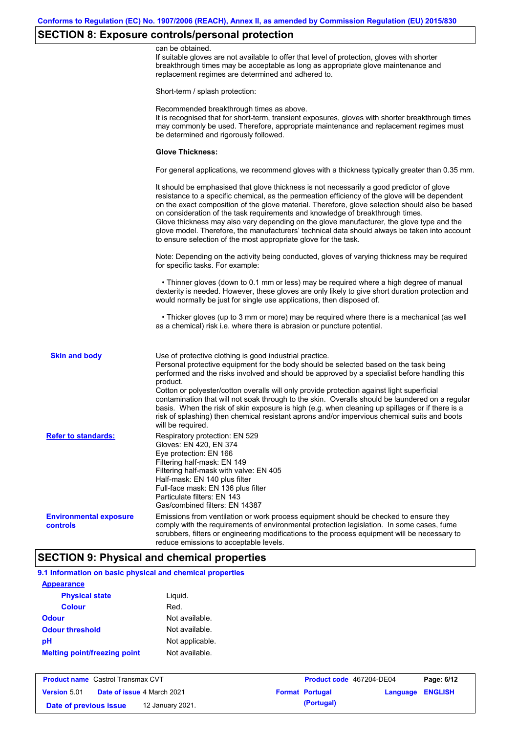# **SECTION 8: Exposure controls/personal protection**

|                                           | can be obtained.<br>If suitable gloves are not available to offer that level of protection, gloves with shorter<br>breakthrough times may be acceptable as long as appropriate glove maintenance and<br>replacement regimes are determined and adhered to.                                                                                                                                                                                                                                                                                                                                                                                                                            |
|-------------------------------------------|---------------------------------------------------------------------------------------------------------------------------------------------------------------------------------------------------------------------------------------------------------------------------------------------------------------------------------------------------------------------------------------------------------------------------------------------------------------------------------------------------------------------------------------------------------------------------------------------------------------------------------------------------------------------------------------|
|                                           | Short-term / splash protection:                                                                                                                                                                                                                                                                                                                                                                                                                                                                                                                                                                                                                                                       |
|                                           | Recommended breakthrough times as above.<br>It is recognised that for short-term, transient exposures, gloves with shorter breakthrough times<br>may commonly be used. Therefore, appropriate maintenance and replacement regimes must<br>be determined and rigorously followed.                                                                                                                                                                                                                                                                                                                                                                                                      |
|                                           | <b>Glove Thickness:</b>                                                                                                                                                                                                                                                                                                                                                                                                                                                                                                                                                                                                                                                               |
|                                           | For general applications, we recommend gloves with a thickness typically greater than 0.35 mm.                                                                                                                                                                                                                                                                                                                                                                                                                                                                                                                                                                                        |
|                                           | It should be emphasised that glove thickness is not necessarily a good predictor of glove<br>resistance to a specific chemical, as the permeation efficiency of the glove will be dependent<br>on the exact composition of the glove material. Therefore, glove selection should also be based<br>on consideration of the task requirements and knowledge of breakthrough times.<br>Glove thickness may also vary depending on the glove manufacturer, the glove type and the<br>glove model. Therefore, the manufacturers' technical data should always be taken into account<br>to ensure selection of the most appropriate glove for the task.                                     |
|                                           | Note: Depending on the activity being conducted, gloves of varying thickness may be required<br>for specific tasks. For example:                                                                                                                                                                                                                                                                                                                                                                                                                                                                                                                                                      |
|                                           | • Thinner gloves (down to 0.1 mm or less) may be required where a high degree of manual<br>dexterity is needed. However, these gloves are only likely to give short duration protection and<br>would normally be just for single use applications, then disposed of.                                                                                                                                                                                                                                                                                                                                                                                                                  |
|                                           | • Thicker gloves (up to 3 mm or more) may be required where there is a mechanical (as well<br>as a chemical) risk i.e. where there is abrasion or puncture potential.                                                                                                                                                                                                                                                                                                                                                                                                                                                                                                                 |
| <b>Skin and body</b>                      | Use of protective clothing is good industrial practice.<br>Personal protective equipment for the body should be selected based on the task being<br>performed and the risks involved and should be approved by a specialist before handling this<br>product.<br>Cotton or polyester/cotton overalls will only provide protection against light superficial<br>contamination that will not soak through to the skin. Overalls should be laundered on a regular<br>basis. When the risk of skin exposure is high (e.g. when cleaning up spillages or if there is a<br>risk of splashing) then chemical resistant aprons and/or impervious chemical suits and boots<br>will be required. |
| <b>Refer to standards:</b>                | Respiratory protection: EN 529<br>Gloves: EN 420, EN 374<br>Eye protection: EN 166<br>Filtering half-mask: EN 149<br>Filtering half-mask with valve: EN 405<br>Half-mask: EN 140 plus filter<br>Full-face mask: EN 136 plus filter<br>Particulate filters: EN 143<br>Gas/combined filters: EN 14387                                                                                                                                                                                                                                                                                                                                                                                   |
| <b>Environmental exposure</b><br>controls | Emissions from ventilation or work process equipment should be checked to ensure they<br>comply with the requirements of environmental protection legislation. In some cases, fume<br>scrubbers, filters or engineering modifications to the process equipment will be necessary to<br>reduce emissions to acceptable levels.                                                                                                                                                                                                                                                                                                                                                         |

# **SECTION 9: Physical and chemical properties**

| 9.1 Information on basic physical and chemical properties |                 |  |  |
|-----------------------------------------------------------|-----------------|--|--|
| <b>Appearance</b>                                         |                 |  |  |
| <b>Physical state</b>                                     | Liguid.         |  |  |
| <b>Colour</b>                                             | Red.            |  |  |
| Odour                                                     | Not available.  |  |  |
| <b>Odour threshold</b>                                    | Not available.  |  |  |
| pН                                                        | Not applicable. |  |  |
| <b>Melting point/freezing point</b>                       | Not available.  |  |  |

| <b>Product name</b> Castrol Transmax CVT |  |                                   | Product code 467204-DE04 |                        | Page: 6/12              |  |
|------------------------------------------|--|-----------------------------------|--------------------------|------------------------|-------------------------|--|
| <b>Version 5.01</b>                      |  | <b>Date of issue 4 March 2021</b> |                          | <b>Format Portugal</b> | <b>Language ENGLISH</b> |  |
| Date of previous issue                   |  | 12 January 2021.                  |                          | (Portugal)             |                         |  |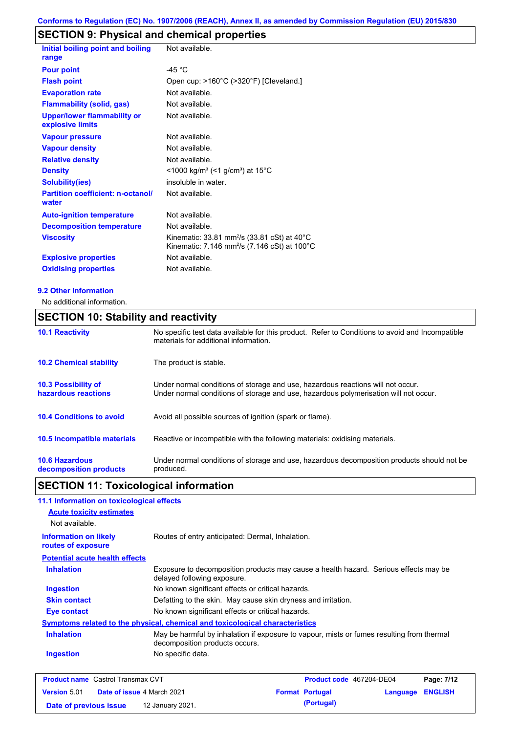# **SECTION 9: Physical and chemical properties**

| Initial boiling point and boiling                      | Not available.                                                                                                                           |
|--------------------------------------------------------|------------------------------------------------------------------------------------------------------------------------------------------|
| range                                                  |                                                                                                                                          |
| <b>Pour point</b>                                      | -45 $^{\circ}$ C                                                                                                                         |
| <b>Flash point</b>                                     | Open cup: >160°C (>320°F) [Cleveland.]                                                                                                   |
| <b>Evaporation rate</b>                                | Not available.                                                                                                                           |
| <b>Flammability (solid, gas)</b>                       | Not available.                                                                                                                           |
| <b>Upper/lower flammability or</b><br>explosive limits | Not available.                                                                                                                           |
| <b>Vapour pressure</b>                                 | Not available.                                                                                                                           |
| <b>Vapour density</b>                                  | Not available.                                                                                                                           |
| <b>Relative density</b>                                | Not available.                                                                                                                           |
| <b>Density</b>                                         | <1000 kg/m <sup>3</sup> (<1 g/cm <sup>3</sup> ) at 15°C                                                                                  |
| <b>Solubility(ies)</b>                                 | insoluble in water.                                                                                                                      |
| <b>Partition coefficient: n-octanol/</b><br>water      | Not available.                                                                                                                           |
| <b>Auto-ignition temperature</b>                       | Not available.                                                                                                                           |
| <b>Decomposition temperature</b>                       | Not available.                                                                                                                           |
| <b>Viscosity</b>                                       | Kinematic: 33.81 mm <sup>2</sup> /s (33.81 cSt) at $40^{\circ}$ C<br>Kinematic: 7.146 mm <sup>2</sup> /s (7.146 cSt) at 100 $^{\circ}$ C |
| <b>Explosive properties</b>                            | Not available.                                                                                                                           |
| <b>Oxidising properties</b>                            | Not available.                                                                                                                           |

### **9.2 Other information**

No additional information.

# **SECTION 10: Stability and reactivity**

| <b>10.1 Reactivity</b>                            | No specific test data available for this product. Refer to Conditions to avoid and Incompatible<br>materials for additional information.                                |
|---------------------------------------------------|-------------------------------------------------------------------------------------------------------------------------------------------------------------------------|
| <b>10.2 Chemical stability</b>                    | The product is stable.                                                                                                                                                  |
| <b>10.3 Possibility of</b><br>hazardous reactions | Under normal conditions of storage and use, hazardous reactions will not occur.<br>Under normal conditions of storage and use, hazardous polymerisation will not occur. |
| <b>10.4 Conditions to avoid</b>                   | Avoid all possible sources of ignition (spark or flame).                                                                                                                |
| <b>10.5 Incompatible materials</b>                | Reactive or incompatible with the following materials: oxidising materials.                                                                                             |
| <b>10.6 Hazardous</b><br>decomposition products   | Under normal conditions of storage and use, hazardous decomposition products should not be<br>produced.                                                                 |

# **SECTION 11: Toxicological information**

| 11.1 Information on toxicological effects          |                                                                                                                             |  |  |  |  |
|----------------------------------------------------|-----------------------------------------------------------------------------------------------------------------------------|--|--|--|--|
| <b>Acute toxicity estimates</b>                    |                                                                                                                             |  |  |  |  |
| Not available.                                     |                                                                                                                             |  |  |  |  |
| <b>Information on likely</b><br>routes of exposure | Routes of entry anticipated: Dermal, Inhalation.                                                                            |  |  |  |  |
| <b>Potential acute health effects</b>              |                                                                                                                             |  |  |  |  |
| <b>Inhalation</b>                                  | Exposure to decomposition products may cause a health hazard. Serious effects may be<br>delayed following exposure.         |  |  |  |  |
| <b>Ingestion</b>                                   | No known significant effects or critical hazards.                                                                           |  |  |  |  |
| <b>Skin contact</b>                                | Defatting to the skin. May cause skin dryness and irritation.                                                               |  |  |  |  |
| Eye contact                                        | No known significant effects or critical hazards.                                                                           |  |  |  |  |
|                                                    | Symptoms related to the physical, chemical and toxicological characteristics                                                |  |  |  |  |
| <b>Inhalation</b>                                  | May be harmful by inhalation if exposure to vapour, mists or fumes resulting from thermal<br>decomposition products occurs. |  |  |  |  |
| <b>Ingestion</b>                                   | No specific data.                                                                                                           |  |  |  |  |
|                                                    |                                                                                                                             |  |  |  |  |

| <b>Product name</b> Castrol Transmax CVT |  |                                   | <b>Product code</b> 467204-DE04 |                        | Page: 7/12              |  |
|------------------------------------------|--|-----------------------------------|---------------------------------|------------------------|-------------------------|--|
| <b>Version 5.01</b>                      |  | <b>Date of issue 4 March 2021</b> |                                 | <b>Format Portugal</b> | <b>Language ENGLISH</b> |  |
| Date of previous issue                   |  | 12 January 2021.                  |                                 | (Portugal)             |                         |  |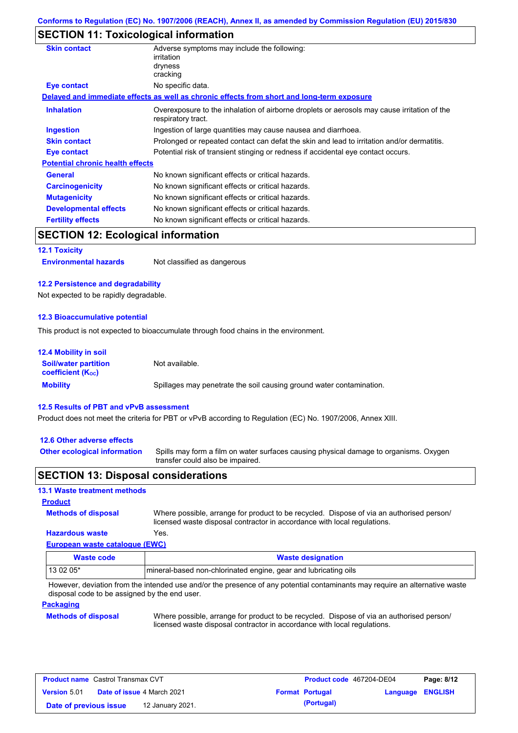# **SECTION 11: Toxicological information**

| <b>Skin contact</b>                     | Adverse symptoms may include the following:<br>irritation<br>dryness<br>cracking                                  |  |  |
|-----------------------------------------|-------------------------------------------------------------------------------------------------------------------|--|--|
| Eye contact                             | No specific data.                                                                                                 |  |  |
|                                         | Delayed and immediate effects as well as chronic effects from short and long-term exposure                        |  |  |
| <b>Inhalation</b>                       | Overexposure to the inhalation of airborne droplets or aerosols may cause irritation of the<br>respiratory tract. |  |  |
| <b>Ingestion</b>                        | Ingestion of large quantities may cause nausea and diarrhoea.                                                     |  |  |
| <b>Skin contact</b>                     | Prolonged or repeated contact can defat the skin and lead to irritation and/or dermatitis.                        |  |  |
| Eye contact                             | Potential risk of transient stinging or redness if accidental eye contact occurs.                                 |  |  |
| <b>Potential chronic health effects</b> |                                                                                                                   |  |  |
| <b>General</b>                          | No known significant effects or critical hazards.                                                                 |  |  |
| <b>Carcinogenicity</b>                  | No known significant effects or critical hazards.                                                                 |  |  |
| <b>Mutagenicity</b>                     | No known significant effects or critical hazards.                                                                 |  |  |
| <b>Developmental effects</b>            | No known significant effects or critical hazards.                                                                 |  |  |
| <b>Fertility effects</b>                | No known significant effects or critical hazards.                                                                 |  |  |
|                                         |                                                                                                                   |  |  |

# **SECTION 12: Ecological information**

**12.1 Toxicity**

**Environmental hazards** Not classified as dangerous

### **12.2 Persistence and degradability**

Not expected to be rapidly degradable.

### **12.3 Bioaccumulative potential**

This product is not expected to bioaccumulate through food chains in the environment.

| <b>12.4 Mobility in soil</b>                            |                                                                      |
|---------------------------------------------------------|----------------------------------------------------------------------|
| <b>Soil/water partition</b><br><b>coefficient (Koc)</b> | Not available.                                                       |
| <b>Mobility</b>                                         | Spillages may penetrate the soil causing ground water contamination. |

### **12.5 Results of PBT and vPvB assessment**

Product does not meet the criteria for PBT or vPvB according to Regulation (EC) No. 1907/2006, Annex XIII.

### **12.6 Other adverse effects**

**Other ecological information**

Spills may form a film on water surfaces causing physical damage to organisms. Oxygen transfer could also be impaired.

### **SECTION 13: Disposal considerations**

### **13.1 Waste treatment methods**

**Methods of disposal Product**

Where possible, arrange for product to be recycled. Dispose of via an authorised person/ licensed waste disposal contractor in accordance with local regulations.

### **European waste catalogue (EWC) Hazardous waste** Yes.

| Waste code | <b>Waste designation</b>                                        |
|------------|-----------------------------------------------------------------|
| 13 02 05*  | mineral-based non-chlorinated engine, gear and lubricating oils |

However, deviation from the intended use and/or the presence of any potential contaminants may require an alternative waste disposal code to be assigned by the end user.

### **Packaging**

### **Methods of disposal**

Where possible, arrange for product to be recycled. Dispose of via an authorised person/ licensed waste disposal contractor in accordance with local regulations.

| <b>Product name</b> Castrol Transmax CVT |  |                                   | Product code 467204-DE04 |                        | Page: 8/12              |  |
|------------------------------------------|--|-----------------------------------|--------------------------|------------------------|-------------------------|--|
| <b>Version 5.01</b>                      |  | <b>Date of issue 4 March 2021</b> |                          | <b>Format Portugal</b> | <b>Language ENGLISH</b> |  |
| Date of previous issue                   |  | 12 January 2021.                  |                          | (Portugal)             |                         |  |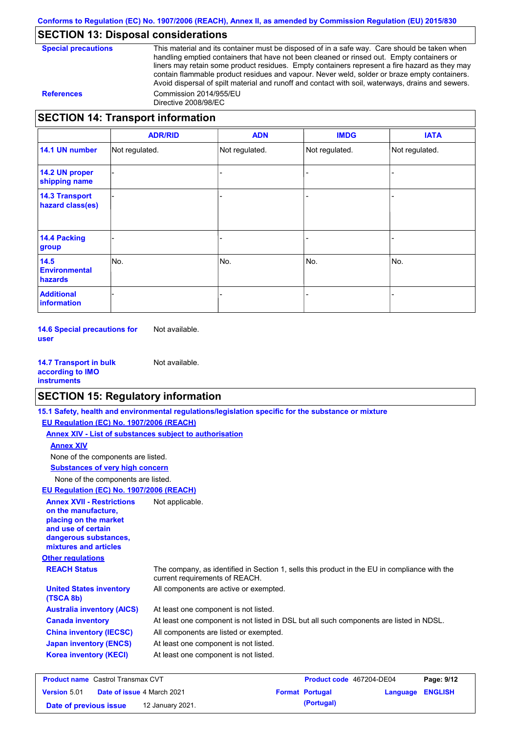# **SECTION 13: Disposal considerations**

**Special precautions** This material and its container must be disposed of in a safe way. Care should be taken when handling emptied containers that have not been cleaned or rinsed out. Empty containers or liners may retain some product residues. Empty containers represent a fire hazard as they may contain flammable product residues and vapour. Never weld, solder or braze empty containers. Avoid dispersal of spilt material and runoff and contact with soil, waterways, drains and sewers. **References** Commission 2014/955/EU Directive 2008/98/EC

# **SECTION 14: Transport information**

|                                           | <b>ADR/RID</b> | <b>ADN</b>     | <b>IMDG</b>    | <b>IATA</b>    |
|-------------------------------------------|----------------|----------------|----------------|----------------|
| 14.1 UN number                            | Not regulated. | Not regulated. | Not regulated. | Not regulated. |
| 14.2 UN proper<br>shipping name           |                |                |                |                |
| <b>14.3 Transport</b><br>hazard class(es) |                |                |                |                |
| <b>14.4 Packing</b><br>group              |                |                |                |                |
| 14.5<br><b>Environmental</b><br>hazards   | No.            | No.            | No.            | No.            |
| <b>Additional</b><br>information          |                |                |                |                |

**14.6 Special precautions for user** Not available.

**14.7 Transport in bulk according to IMO instruments** Not available.

# **SECTION 15: Regulatory information**

|                                                                                                                                                          | 15.1 Safety, health and environmental regulations/legislation specific for the substance or mixture                            |                                    |                         |
|----------------------------------------------------------------------------------------------------------------------------------------------------------|--------------------------------------------------------------------------------------------------------------------------------|------------------------------------|-------------------------|
| EU Regulation (EC) No. 1907/2006 (REACH)                                                                                                                 |                                                                                                                                |                                    |                         |
| Annex XIV - List of substances subject to authorisation                                                                                                  |                                                                                                                                |                                    |                         |
| <b>Annex XIV</b>                                                                                                                                         |                                                                                                                                |                                    |                         |
| None of the components are listed.                                                                                                                       |                                                                                                                                |                                    |                         |
| <b>Substances of very high concern</b>                                                                                                                   |                                                                                                                                |                                    |                         |
| None of the components are listed.                                                                                                                       |                                                                                                                                |                                    |                         |
| EU Regulation (EC) No. 1907/2006 (REACH)                                                                                                                 |                                                                                                                                |                                    |                         |
| <b>Annex XVII - Restrictions</b><br>on the manufacture,<br>placing on the market<br>and use of certain<br>dangerous substances,<br>mixtures and articles | Not applicable.                                                                                                                |                                    |                         |
| <b>Other regulations</b>                                                                                                                                 |                                                                                                                                |                                    |                         |
| <b>REACH Status</b>                                                                                                                                      | The company, as identified in Section 1, sells this product in the EU in compliance with the<br>current requirements of REACH. |                                    |                         |
| <b>United States inventory</b><br>(TSCA 8b)                                                                                                              | All components are active or exempted.                                                                                         |                                    |                         |
| <b>Australia inventory (AICS)</b>                                                                                                                        | At least one component is not listed.                                                                                          |                                    |                         |
| <b>Canada inventory</b>                                                                                                                                  | At least one component is not listed in DSL but all such components are listed in NDSL.                                        |                                    |                         |
| <b>China inventory (IECSC)</b>                                                                                                                           | All components are listed or exempted.                                                                                         |                                    |                         |
| <b>Japan inventory (ENCS)</b>                                                                                                                            | At least one component is not listed.                                                                                          |                                    |                         |
| <b>Korea inventory (KECI)</b>                                                                                                                            | At least one component is not listed.                                                                                          |                                    |                         |
| <b>Product name</b> Castrol Transmay CVT                                                                                                                 |                                                                                                                                | <b>Product code</b> $467204$ -DE04 | P <sub>2</sub> na: 9/12 |

**Product name** Castrol Transmax CVT **Version** 5.01 **Product code** 467204-DE04 **Page: 9/12 Date of issue** 4 March 2021 **Format Portugal Language ENGLISH Date of previous issue 12 January 2021. (Portugal) (Portugal)**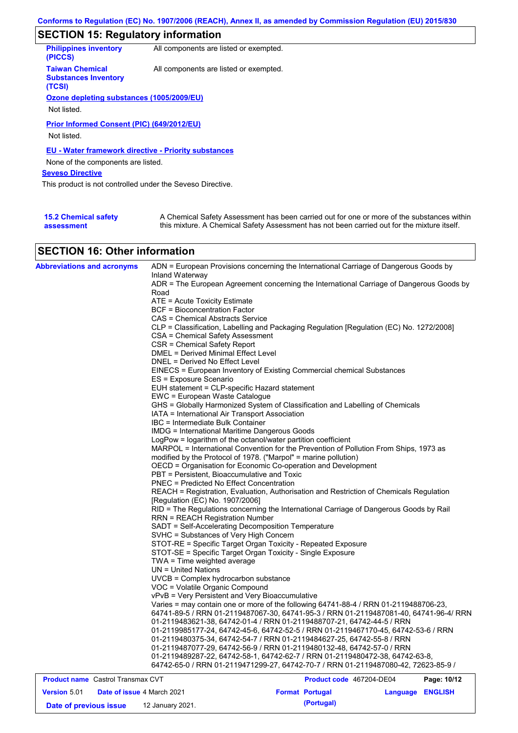# **SECTION 15: Regulatory information**

| <b>Philippines inventory</b><br>(PICCS)                         | All components are listed or exempted. |
|-----------------------------------------------------------------|----------------------------------------|
| <b>Taiwan Chemical</b><br><b>Substances Inventory</b><br>(TCSI) | All components are listed or exempted. |
| Ozone depleting substances (1005/2009/EU)                       |                                        |
|                                                                 |                                        |
| Not listed.                                                     |                                        |
| Prior Informed Consent (PIC) (649/2012/EU)<br>Not listed.       |                                        |
| EU - Water framework directive - Priority substances            |                                        |
| None of the components are listed.                              |                                        |
| <b>Seveso Directive</b>                                         |                                        |
| This product is not controlled under the Seveso Directive.      |                                        |
|                                                                 |                                        |
|                                                                 |                                        |

| <b>15.2 Chemical safety</b> | A Chemical Safety Assessment has been carried out for one or more of the substances within  |
|-----------------------------|---------------------------------------------------------------------------------------------|
| assessment                  | this mixture. A Chemical Safety Assessment has not been carried out for the mixture itself. |

# **SECTION 16: Other information**

| <b>Abbreviations and acronyms</b>        | ADN = European Provisions concerning the International Carriage of Dangerous Goods by<br>Inland Waterway                                                           |
|------------------------------------------|--------------------------------------------------------------------------------------------------------------------------------------------------------------------|
|                                          | ADR = The European Agreement concerning the International Carriage of Dangerous Goods by                                                                           |
|                                          | Road                                                                                                                                                               |
|                                          | ATE = Acute Toxicity Estimate                                                                                                                                      |
|                                          | <b>BCF</b> = Bioconcentration Factor                                                                                                                               |
|                                          | CAS = Chemical Abstracts Service                                                                                                                                   |
|                                          | CLP = Classification, Labelling and Packaging Regulation [Regulation (EC) No. 1272/2008]<br>CSA = Chemical Safety Assessment                                       |
|                                          | CSR = Chemical Safety Report                                                                                                                                       |
|                                          | <b>DMEL = Derived Minimal Effect Level</b>                                                                                                                         |
|                                          | DNEL = Derived No Effect Level                                                                                                                                     |
|                                          | EINECS = European Inventory of Existing Commercial chemical Substances                                                                                             |
|                                          | ES = Exposure Scenario                                                                                                                                             |
|                                          | EUH statement = CLP-specific Hazard statement                                                                                                                      |
|                                          | EWC = European Waste Catalogue                                                                                                                                     |
|                                          | GHS = Globally Harmonized System of Classification and Labelling of Chemicals                                                                                      |
|                                          | IATA = International Air Transport Association                                                                                                                     |
|                                          | IBC = Intermediate Bulk Container                                                                                                                                  |
|                                          | <b>IMDG = International Maritime Dangerous Goods</b>                                                                                                               |
|                                          | LogPow = logarithm of the octanol/water partition coefficient                                                                                                      |
|                                          | MARPOL = International Convention for the Prevention of Pollution From Ships, 1973 as                                                                              |
|                                          | modified by the Protocol of 1978. ("Marpol" = marine pollution)                                                                                                    |
|                                          | OECD = Organisation for Economic Co-operation and Development                                                                                                      |
|                                          | PBT = Persistent, Bioaccumulative and Toxic                                                                                                                        |
|                                          | <b>PNEC = Predicted No Effect Concentration</b>                                                                                                                    |
|                                          | REACH = Registration, Evaluation, Authorisation and Restriction of Chemicals Regulation                                                                            |
|                                          | [Regulation (EC) No. 1907/2006]                                                                                                                                    |
|                                          | RID = The Regulations concerning the International Carriage of Dangerous Goods by Rail                                                                             |
|                                          | <b>RRN = REACH Registration Number</b>                                                                                                                             |
|                                          | SADT = Self-Accelerating Decomposition Temperature                                                                                                                 |
|                                          | SVHC = Substances of Very High Concern                                                                                                                             |
|                                          | STOT-RE = Specific Target Organ Toxicity - Repeated Exposure                                                                                                       |
|                                          | STOT-SE = Specific Target Organ Toxicity - Single Exposure                                                                                                         |
|                                          | TWA = Time weighted average                                                                                                                                        |
|                                          | $UN = United Nations$                                                                                                                                              |
|                                          | UVCB = Complex hydrocarbon substance                                                                                                                               |
|                                          | VOC = Volatile Organic Compound                                                                                                                                    |
|                                          | vPvB = Very Persistent and Very Bioaccumulative                                                                                                                    |
|                                          | Varies = may contain one or more of the following 64741-88-4 / RRN 01-2119488706-23,                                                                               |
|                                          | 64741-89-5 / RRN 01-2119487067-30, 64741-95-3 / RRN 01-2119487081-40, 64741-96-4/ RRN                                                                              |
|                                          | 01-2119483621-38, 64742-01-4 / RRN 01-2119488707-21, 64742-44-5 / RRN                                                                                              |
|                                          | 01-2119985177-24, 64742-45-6, 64742-52-5 / RRN 01-2119467170-45, 64742-53-6 / RRN                                                                                  |
|                                          | 01-2119480375-34, 64742-54-7 / RRN 01-2119484627-25, 64742-55-8 / RRN                                                                                              |
|                                          | 01-2119487077-29, 64742-56-9 / RRN 01-2119480132-48, 64742-57-0 / RRN                                                                                              |
|                                          | 01-2119489287-22, 64742-58-1, 64742-62-7 / RRN 01-2119480472-38, 64742-63-8,<br>64742-65-0 / RRN 01-2119471299-27, 64742-70-7 / RRN 01-2119487080-42, 72623-85-9 / |
| <b>Product name</b> Castrol Transmax CVT | Product code 467204-DE04<br>Page: 10/12                                                                                                                            |

| <b>Product name</b> Castrol Transmax CVT |  |                                   |  | <b>Product code</b> 46/204-DE04 | Page: 10/12      |  |
|------------------------------------------|--|-----------------------------------|--|---------------------------------|------------------|--|
| <b>Version 5.01</b>                      |  | <b>Date of issue 4 March 2021</b> |  | <b>Format Portugal</b>          | Language ENGLISH |  |
| Date of previous issue                   |  | 12 January 2021.                  |  | (Portugal)                      |                  |  |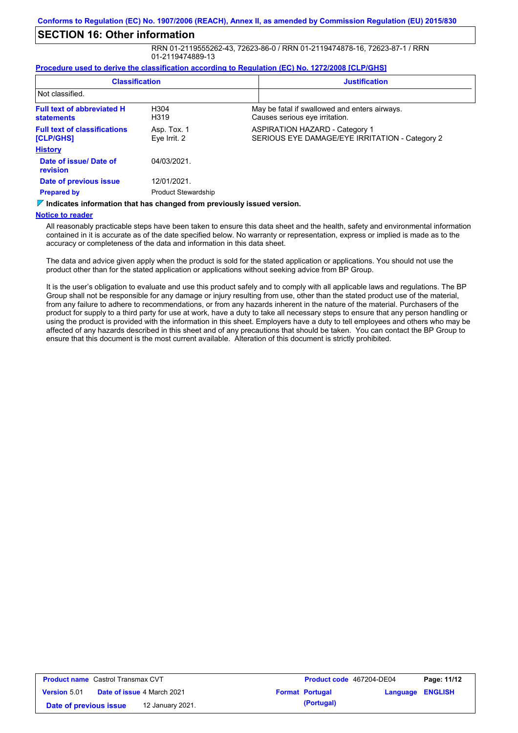# **SECTION 16: Other information**

RRN 01-2119555262-43, 72623-86-0 / RRN 01-2119474878-16, 72623-87-1 / RRN 01-2119474889-13

#### **Procedure used to derive the classification according to Regulation (EC) No. 1272/2008 [CLP/GHS]**

| <b>Classification</b>                                                           |                             | <b>Justification</b>                                                                    |
|---------------------------------------------------------------------------------|-----------------------------|-----------------------------------------------------------------------------------------|
| Not classified.                                                                 |                             |                                                                                         |
| <b>Full text of abbreviated H</b><br><b>statements</b>                          | H304<br>H319                | May be fatal if swallowed and enters airways.<br>Causes serious eye irritation.         |
| <b>Full text of classifications</b><br><b>[CLP/GHS]</b>                         | Asp. Tox. 1<br>Eye Irrit. 2 | <b>ASPIRATION HAZARD - Category 1</b><br>SERIOUS EYE DAMAGE/EYE IRRITATION - Category 2 |
| <b>History</b>                                                                  |                             |                                                                                         |
| Date of issue/Date of<br>revision                                               | 04/03/2021.                 |                                                                                         |
| Date of previous issue                                                          | 12/01/2021.                 |                                                                                         |
| <b>Prepared by</b>                                                              | <b>Product Stewardship</b>  |                                                                                         |
| $\nabla$ Indicates information that has changed from previously issued version. |                             |                                                                                         |

**Notice to reader**

All reasonably practicable steps have been taken to ensure this data sheet and the health, safety and environmental information contained in it is accurate as of the date specified below. No warranty or representation, express or implied is made as to the accuracy or completeness of the data and information in this data sheet.

The data and advice given apply when the product is sold for the stated application or applications. You should not use the product other than for the stated application or applications without seeking advice from BP Group.

It is the user's obligation to evaluate and use this product safely and to comply with all applicable laws and regulations. The BP Group shall not be responsible for any damage or injury resulting from use, other than the stated product use of the material, from any failure to adhere to recommendations, or from any hazards inherent in the nature of the material. Purchasers of the product for supply to a third party for use at work, have a duty to take all necessary steps to ensure that any person handling or using the product is provided with the information in this sheet. Employers have a duty to tell employees and others who may be affected of any hazards described in this sheet and of any precautions that should be taken. You can contact the BP Group to ensure that this document is the most current available. Alteration of this document is strictly prohibited.

| <b>Product name</b> Castrol Transmax CVT |                                   |                  | <b>Product code</b> 467204-DE04 |                         | Page: 11/12 |  |
|------------------------------------------|-----------------------------------|------------------|---------------------------------|-------------------------|-------------|--|
| <b>Version 5.01</b>                      | <b>Date of issue 4 March 2021</b> |                  | <b>Format Portugal</b>          | <b>Language ENGLISH</b> |             |  |
| Date of previous issue                   |                                   | 12 January 2021. |                                 | (Portugal)              |             |  |